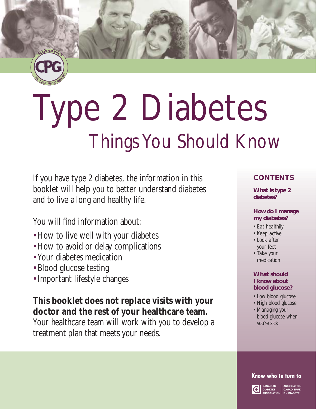

# Type 2 Diabetes Things You Should Know

If you have type 2 diabetes, the information in this booklet will help you to better understand diabetes and to live a long and healthy life.

You will find information about:

- •How to live well with your diabetes
- •How to avoid or delay complications
- Your diabetes medication
- Blood glucose testing
- •Important lifestyle changes

### **This booklet does not replace visits with your doctor and the rest of your healthcare team.**

Your healthcare team will work with you to develop a treatment plan that meets your needs.

#### **CONTENTS**

**What is type 2 diabetes?**

#### **How do I manage my diabetes?**

- *Eat healthily*
- *Keep active*
- *Look after your feet*
- *Take your medication*

#### **What should I know about blood glucose?**

- *Low blood glucose*
- *High blood glucose • Managing your blood glucose when you're sick*

#### Know who to turn to

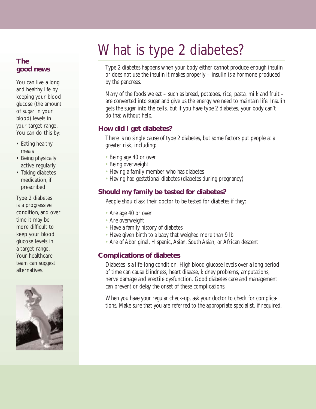# What is type 2 diabetes?

Type 2 diabetes happens when your body either cannot produce enough insulin or does not use the insulin it makes properly – insulin is a hormone produced by the pancreas.

Many of the foods we eat – such as bread, potatoes, rice, pasta, milk and fruit – are converted into sugar and give us the energy we need to maintain life. Insulin gets the sugar into the cells, but if you have type 2 diabetes, your body can't do that without help.

#### **How did I get diabetes?**

There is no single cause of type 2 diabetes, but some factors put people at a greater risk, including:

- Being age 40 or over
- Being overweight
- Having a family member who has diabetes
- Having had gestational diabetes (diabetes during pregnancy)

#### **Should my family be tested for diabetes?**

People should ask their doctor to be tested for diabetes if they:

- Are age 40 or over
- Are overweight
- Have a family history of diabetes
- Have given birth to a baby that weighed more than 9 lb
- Are of Aboriginal, Hispanic, Asian, South Asian, or African descent

#### **Complications of diabetes**

Diabetes is a life-long condition. High blood glucose levels over a long period of time can cause blindness, heart disease, kidney problems, amputations, nerve damage and erectile dysfunction. Good diabetes care and management can prevent or delay the onset of these complications.

When you have your regular check-up, ask your doctor to check for complications. Make sure that you are referred to the appropriate specialist, if required.

#### **The good news**

You can live a long and healthy life by keeping your blood glucose (the amount of sugar in your blood) levels in your target range. You can do this by:

- Eating healthy meals
- Being physically active regularly
- Taking diabetes medication, if prescribed

Type 2 diabetes is a progressive condition, and over time it may be more difficult to keep your blood glucose levels in a target range. Your healthcare team can suggest alternatives.

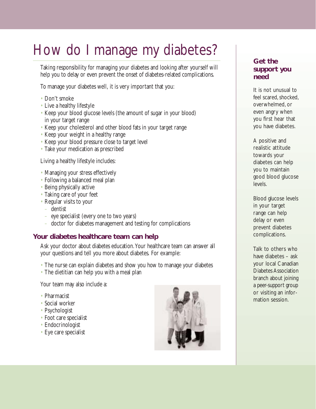# How do I manage my diabetes?

Taking responsibility for managing your diabetes and looking after yourself will help you to delay or even prevent the onset of diabetes-related complications.

To manage your diabetes well, it is very important that you:

- Don't smoke
- Live a healthy lifestyle
- Keep your blood glucose levels (the amount of sugar in your blood) in your target range
- Keep your cholesterol and other blood fats in your target range
- Keep your weight in a healthy range
- Keep your blood pressure close to target level
- Take your medication as prescribed

Living a healthy lifestyle includes:

- Managing your stress effectively
- Following a balanced meal plan
- Being physically active
- Taking care of your feet
- Regular visits to your
	- dentist
	- eye specialist (every one to two years)
	- doctor for diabetes management and testing for complications

#### **Your diabetes healthcare team can help**

Ask your doctor about diabetes education.Your healthcare team can answer all your questions and tell you more about diabetes. For example:

- The nurse can explain diabetes and show you how to manage your diabetes
- The dietitian can help you with a meal plan

Your team may also include a:

- Pharmacist
- Social worker
- Psychologist
- Foot care specialist
- Endocrinologist
- Eye care specialist



#### **Get the support you need**

It is not unusual to feel scared, shocked, overwhelmed, or even angry when you first hear that you have diabetes.

A positive and realistic attitude towards your diabetes can help you to maintain good blood glucose levels.

Blood glucose levels in your target range can help delay or even prevent diabetes complications.

Talk to others who have diabetes – ask your local Canadian Diabetes Association branch about joining a peer-support group or visiting an information session.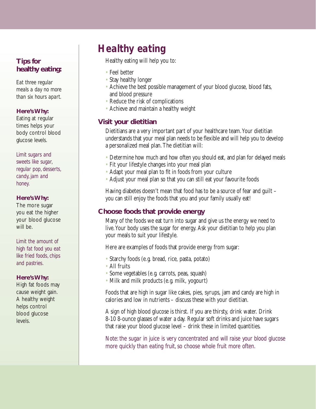#### **Tips for healthy eating:**

*Eat three regular meals a day no more than six hours apart.*

#### **Here's Why:**

Eating at regular times helps your body control blood glucose levels.

*Limit sugars and sweets like sugar, regular pop, desserts, candy, jam and honey.*

#### **Here's Why:**

The more sugar you eat the higher your blood glucose will be.

*Limit the amount of high fat food you eat like fried foods, chips and pastries.*

#### **Here's Why:**

High fat foods may cause weight gain. A healthy weight helps control blood glucose levels.

# *Healthy eating*

Healthy eating will help you to:

- Feel better
- Stay healthy longer
- Achieve the best possible management of your blood glucose, blood fats, and blood pressure
- Reduce the risk of complications
- Achieve and maintain a healthy weight

#### **Visit your dietitian**

Dietitians are a very important part of your healthcare team.Your dietitian understands that your meal plan needs to be flexible and will help you to develop a personalized meal plan.The dietitian will:

- Determine how much and how often you should eat, and plan for delayed meals
- Fit your lifestyle changes into your meal plan
- Adapt your meal plan to fit in foods from your culture
- Adjust your meal plan so that you can still eat your favourite foods

Having diabetes doesn't mean that food has to be a source of fear and guilt – you can still enjoy the foods that you and your family usually eat!

#### **Choose foods that provide energy**

Many of the foods we eat turn into sugar and give us the energy we need to live.Your body uses the sugar for energy. Ask your dietitian to help you plan your meals to suit your lifestyle.

Here are examples of foods that provide energy from sugar:

- Starchy foods (e.g. bread, rice, pasta, potato)
- All fruits
- Some vegetables (e.g. carrots, peas, squash)
- Milk and milk products (e.g. milk, yogourt)

Foods that are high in sugar like cakes, pies, syrups, jam and candy are high in calories and low in nutrients – discuss these with your dietitian.

A sign of high blood glucose is thirst. If you are thirsty, drink water. Drink 8-10 8-ounce glasses of water a day. Regular soft drinks and juice have sugars that raise your blood glucose level – drink these in limited quantities.

*Note: the sugar in juice is very concentrated and will raise your blood glucose more quickly than eating fruit, so choose whole fruit more often.*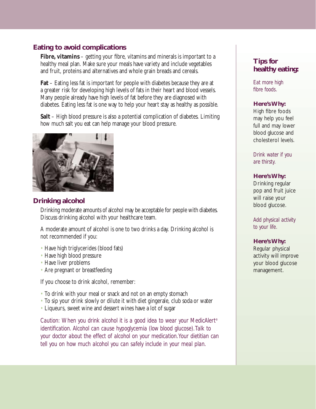#### **Eating to avoid complications**

**Fibre, vitamins** – getting your fibre, vitamins and minerals is important to a healthy meal plan. Make sure your meals have variety and include vegetables and fruit, proteins and alternatives and whole grain breads and cereals.

**Fat** – Eating less fat is important for people with diabetes because they are at a greater risk for developing high levels of fats in their heart and blood vessels. Many people already have high levels of fat before they are diagnosed with diabetes. Eating less fat is one way to help your heart stay as healthy as possible.

**Salt** – High blood pressure is also a potential complication of diabetes. Limiting how much salt you eat can help manage your blood pressure.



#### **Drinking alcohol**

Drinking moderate amounts of alcohol may be acceptable for people with diabetes. Discuss drinking alcohol with your healthcare team.

A moderate amount of alcohol is one to two drinks a day. Drinking alcohol is not recommended if you:

- Have high triglycerides (blood fats)
- Have high blood pressure
- Have liver problems
- Are pregnant or breastfeeding

If you choose to drink alcohol, remember:

- To drink with your meal or snack and not on an empty stomach
- To sip your drink slowly or dilute it with diet gingerale, club soda or water
- Liqueurs, sweet wine and dessert wines have a lot of sugar

*Caution: When you drink alcohol it is a good idea to wear your MedicAlert® identification. Alcohol can cause hypoglycemia (low blood glucose).Talk to your doctor about the effect of alcohol on your medication.Your dietitian can tell you on how much alcohol you can safely include in your meal plan.*

#### **Tips for healthy eating:**

*Eat more high fibre foods.*

#### **Here's Why:**

High fibre foods may help you feel full and may lower blood glucose and cholesterol levels.

*Drink water if you are thirsty.*

#### **Here's Why:**

Drinking regular pop and fruit juice will raise your blood glucose.

*Add physical activity to your life.*

#### **Here's Why:**

Regular physical activity will improve your blood glucose management.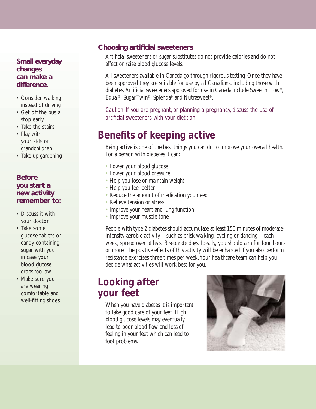#### **Small everyday changes can make a difference.**

- Consider walking instead of driving
- Get off the bus a stop early
- Take the stairs
- Play with your kids or grandchildren
- Take up gardening

#### **Before you start a new activity remember to:**

- Discuss it with your doctor
- Take some glucose tablets or candy containing sugar with you in case your blood glucose drops too low
- Make sure you are wearing comfortable and well-fitting shoes

#### **Choosing artificial sweeteners**

Artificial sweeteners or sugar substitutes do not provide calories and do not affect or raise blood glucose levels.

All sweeteners available in Canada go through rigorous testing. Once they have been approved they are suitable for use by all Canadians, including those with diabetes. Artificial sweeteners approved for use in Canada include Sweet n' Low®, Equal®, Sugar Twin®, Splenda® and Nutrasweet®.

*Caution: If you are pregnant, or planning a pregnancy, discuss the use of artificial sweeteners with your dietitian.*

## *Benefits of keeping active*

Being active is one of the best things you can do to improve your overall health. For a person with diabetes it can:

- Lower your blood glucose
- Lower your blood pressure
- Help you lose or maintain weight
- Help you feel better
- Reduce the amount of medication you need
- Relieve tension or stress
- Improve your heart and lung function
- Improve your muscle tone

People with type 2 diabetes should accumulate at least 150 minutes of moderateintensity aerobic activity – such as brisk walking, cycling or dancing – each week, spread over at least 3 separate days. Ideally, you should aim for four hours or more.The positive effects of this activity will be enhanced if you also perform resistance exercises three times per week.Your healthcare team can help you decide what activities will work best for you.

### *Looking after your feet*

When you have diabetes it is important to take good care of your feet. High blood glucose levels may eventually lead to poor blood flow and loss of feeling in your feet which can lead to foot problems.

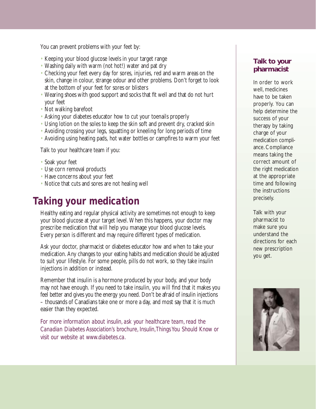You can prevent problems with your feet by:

- Keeping your blood glucose levels in your target range
- Washing daily with warm (not hot!) water and pat dry
- Checking your feet every day for sores, injuries, red and warm areas on the skin, change in colour, strange odour and other problems. Don't forget to look at the bottom of your feet for sores or blisters
- Wearing shoes with good support and socks that fit well and that do not hurt your feet
- Not walking barefoot
- Asking your diabetes educator how to cut your toenails properly
- Using lotion on the soles to keep the skin soft and prevent dry, cracked skin
- Avoiding crossing your legs, squatting or kneeling for long periods of time
- Avoiding using heating pads, hot water bottles or campfires to warm your feet

Talk to your healthcare team if you:

- Soak your feet
- Use corn removal products
- Have concerns about your feet
- Notice that cuts and sores are not healing well

### *Taking your medication*

Healthy eating and regular physical activity are sometimes not enough to keep your blood glucose at your target level.When this happens, your doctor may prescribe medication that will help you manage your blood glucose levels. Every person is different and may require different types of medication.

Ask your doctor, pharmacist or diabetes educator how and when to take your medication. Any changes to your eating habits and medication should be adjusted to suit your lifestyle. For some people, pills do not work, so they take insulin injections in addition or instead.

Remember that insulin is a hormone produced by your body, and your body may not have enough. If you need to take insulin, you will find that it makes you feel better and gives you the energy you need. Don't be afraid of insulin injections – thousands of Canadians take one or more a day, and most say that it is much easier than they expected.

*For more information about insulin, ask your healthcare team, read the Canadian Diabetes Association's brochure, Insulin,Things You Should Know or visit our website at www.diabetes.ca.*

#### **Talk to your pharmacist**

In order to work well, medicines have to be taken properly. You can help determine the success of your therapy by taking charge of your medication compliance. Compliance means taking the correct amount of the right medication at the appropriate time and following the instructions precisely.

Talk with your pharmacist to make sure you understand the directions for each new prescription you get.

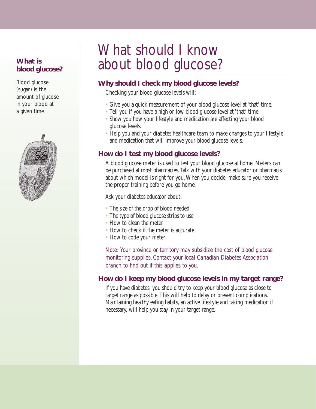#### **What is blood glucose?**

Blood glucose (sugar) is the amount of glucose in your blood at a given time.



# What should I know about blood glucose?

#### **Why should I check my blood glucose levels?**

Checking your blood glucose levels will:

- Give you a quick measurement of your blood glucose level at 'that' time.
- Tell you if you have a high or low blood glucose level at 'that' time.
- Show you how your lifestyle and medication are affecting your blood glucose levels.
- Help you and your diabetes healthcare team to make changes to your lifestyle and medication that will improve your blood glucose levels.

#### **How do I test my blood glucose levels?**

A blood glucose meter is used to test your blood glucose at home. Meters can be purchased at most pharmacies.Talk with your diabetes educator or pharmacist about which model is right for you.When you decide, make sure you receive the proper training before you go home.

Ask your diabetes educator about:

- The size of the drop of blood needed
- The type of blood glucose strips to use
- How to clean the meter
- How to check if the meter is accurate
- How to code your meter

*Note: Your province or territory may subsidize the cost of blood glucose monitoring supplies. Contact your local Canadian Diabetes Association branch to find out if this applies to you.*

#### **How do I keep my blood glucose levels in my target range?**

If you have diabetes, you should try to keep your blood glucose as close to target range as possible.This will help to delay or prevent complications. Maintaining healthy eating habits, an active lifestyle and taking medication if necessary, will help you stay in your target range.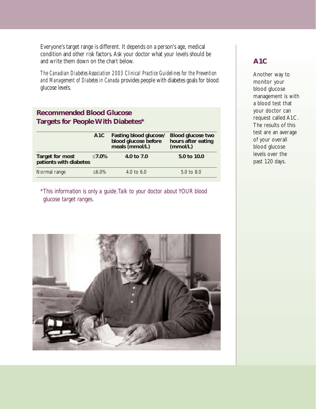Everyone's target range is different. It depends on a person's age, medical condition and other risk factors. Ask your doctor what your levels should be and write them down on the chart below.

*The Canadian Diabetes Association 2003 Clinical Practice Guidelines for the Prevention and Management of Diabetes in Canada* provides people with diabetes goals for blood glucose levels.

#### **Recommended Blood Glucose Targets for People With Diabetes\***

|                                           | A <sub>1</sub> C | <b>Fasting blood glucose/</b><br>blood glucose before<br>meals (mmol/L) | <b>Blood glucose two</b><br>hours after eating<br>(mmol/L) |
|-------------------------------------------|------------------|-------------------------------------------------------------------------|------------------------------------------------------------|
| Target for most<br>patients with diabetes | ≤7.0%            | 4.0 to 7.0                                                              | 5.0 to 10.0                                                |
| Normal range                              | $&5.0\%$         | 4.0 to 6.0                                                              | 5.0 to 8.0                                                 |

*\*This information is only a guide.Talk to your doctor about YOUR blood glucose target ranges.*



#### **A1C**

Another way to monitor your blood glucose management is with a blood test that your doctor can request called A1C. The results of this test are an average of your overall blood glucose levels over the past 120 days.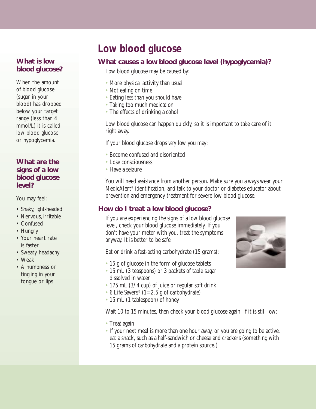#### **What is low blood glucose?**

When the amount of blood glucose (sugar in your blood) has dropped below your target range (less than 4 mmol/L) it is called low blood glucose or hypoglycemia.

#### **What are the signs of a low blood glucose level?**

You may feel:

- Shaky, light-headed
- Nervous, irritable
- Confused
- Hungry
- Your heart rate is faster
- Sweaty, headachy
- Weak
- A numbness or tingling in your tongue or lips

# *Low blood glucose*

#### **What causes a low blood glucose level (hypoglycemia)?**

Low blood glucose may be caused by:

- More physical activity than usual
- Not eating on time
- Eating less than you should have
- Taking too much medication
- The effects of drinking alcohol

Low blood glucose can happen quickly, so it is important to take care of it right away.

If your blood glucose drops *very* low you may:

- Become confused and disoriented
- Lose consciousness
- Have a seizure

You will need assistance from another person. Make sure you always wear your MedicAlert® identification, and talk to your doctor or diabetes educator about prevention and emergency treatment for severe low blood glucose.

#### **How do I treat a low blood glucose?**

If you are experiencing the signs of a low blood glucose level, check your blood glucose immediately. If you don't have your meter with you, treat the symptoms anyway. It is better to be safe.

Eat or drink a fast-acting carbohydrate (15 grams):

- 15 g of glucose in the form of glucose tablets
- 15 mL (3 teaspoons) or 3 packets of table sugar dissolved in water
- 175 mL (3/4 cup) of juice or regular soft drink
- 6 Life Savers<sup>®</sup>  $(1=2.5 \text{ g of carbohydrate})$
- 15 mL (1 tablespoon) of honey

Wait 10 to 15 minutes, then check your blood glucose again. If it is still low:

- Treat again
- If your next meal is more than one hour away, or you are going to be active, eat a snack, such as a half-sandwich or cheese and crackers (something with 15 grams of carbohydrate and a protein source.)

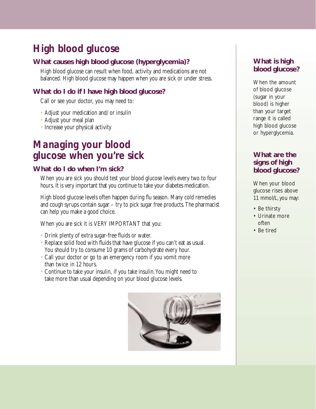# *High blood glucose*

#### **What causes high blood glucose (hyperglycemia)?**

High blood glucose can result when food, activity and medications are not balanced. High blood glucose may happen when you are sick or under stress.

#### **What do I do if I have high blood glucose?**

Call or see your doctor, you may need to:

- Adjust your medication and/or insulin
- Adjust your meal plan
- Increase your physical activity

### *Managing your blood glucose when you're sick*

#### **What do I do when I'm sick?**

When you are sick you should test your blood glucose levels every two to four hours. It is very important that you continue to take your diabetes medication.

High blood glucose levels often happen during flu season. Many cold remedies and cough syrups contain sugar – try to pick sugar free products.The pharmacist can help you make a good choice.

When you are sick it is VERY IMPORTANT that you:

- Drink plenty of extra sugar-free fluids or water.
- Replace solid food with fluids that have glucose if you can't eat as usual. You should try to consume 10 grams of carbohydrate every hour.
- Call your doctor or go to an emergency room if you vomit more than twice in 12 hours.
- Continue to take your insulin, if you take insulin. You might need to take more than usual depending on your blood glucose levels.



#### **What is high blood glucose?**

When the amount of blood glucose (sugar in your blood) is higher than your target range it is called high blood glucose or hyperglycemia.

#### **What are the signs of high blood glucose?**

When your blood glucose rises above 11 mmol/L, you may:

- Be thirsty
- Urinate more often
- Be tired